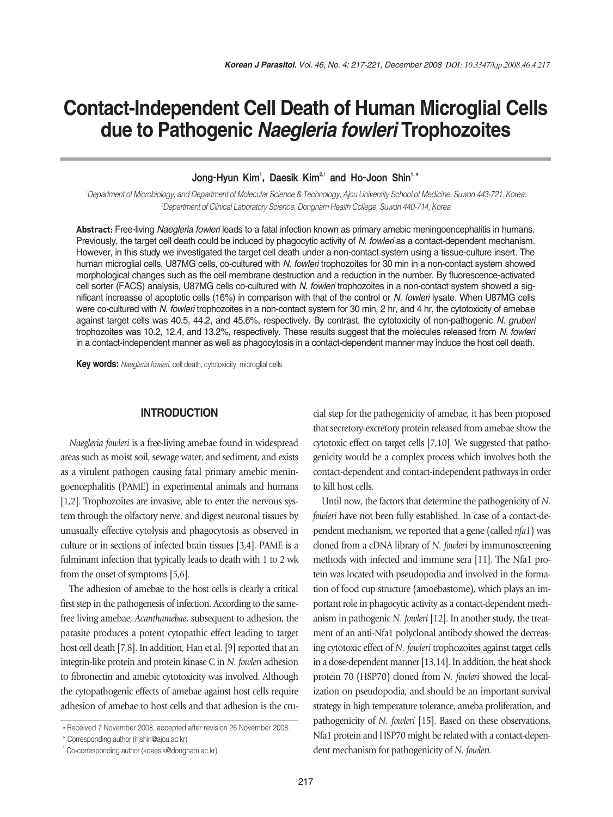# **Contact-Independent Cell Death of Human Microglial Cells due to Pathogenic** *Naegleria fowleri* **Trophozoites**

Jong-Hyun Kim<sup>1</sup>, Daesik Kim<sup>2,†</sup> and Ho-Joon Shin<sup>1,\*</sup>

*1 Department of Microbiology, and Department of Molecular Science & Technology, Ajou University School of Medicine, Suwon 443-721, Korea; 2 Department of Clinical Laboratory Science, Dongnam Health College, Suwon 440-714, Korea*

**Abstract:** Free-living *Naegleria fowleri* leads to a fatal infection known as primary amebic meningoencephalitis in humans. Previously, the target cell death could be induced by phagocytic activity of *N. fowleri* as a contact-dependent mechanism. However, in this study we investigated the target cell death under a non-contact system using a tissue-culture insert. The human microglial cells, U87MG cells, co-cultured with *N. fowleri* trophozoites for 30 min in a non-contact system showed morphological changes such as the cell membrane destruction and a reduction in the number. By fluorescence-activated cell sorter (FACS) analysis, U87MG cells co-cultured with *N. fowleri* trophozoites in a non-contact system showed a significant increasse of apoptotic cells (16%) in comparison with that of the control or *N. fowleri* lysate. When U87MG cells were co-cultured with *N. fowleri* trophozoites in a non-contact system for 30 min, 2 hr, and 4 hr, the cytotoxicity of amebae against target cells was 40.5, 44.2, and 45.6%, respectively. By contrast, the cytotoxicity of non-pathogenic *N. gruberi* trophozoites was 10.2, 12.4, and 13.2%, respectively. These results suggest that the molecules released from *N. fowleri* in a contact-independent manner as well as phagocytosis in a contact-dependent manner may induce the host cell death.

**Key words:** *Naegleria fowleri*, cell death, cytotoxicity, microglial cells

## **INTRODUCTION**

*Naegleria fowleri* is a free-living amebae found in widespread areas such as moist soil, sewage water, and sediment, and exists as a virulent pathogen causing fatal primary amebic meningoencephalitis (PAME) in experimental animals and humans [1,2]. Trophozoites are invasive, able to enter the nervous system through the olfactory nerve, and digest neuronal tissues by unusually effective cytolysis and phagocytosis as observed in culture or in sections of infected brain tissues [3,4]. PAME is a fulminant infection that typically leads to death with 1 to 2 wk from the onset of symptoms [5,6].

The adhesion of amebae to the host cells is clearly a critical first step in the pathogenesis of infection. According to the samefree living amebae, *Acanthamebae*, subsequent to adhesion, the parasite produces a potent cytopathic effect leading to target host cell death [7,8]. In addition, Han et al. [9] reported that an integrin-like protein and protein kinase C in *N. fowleri* adhesion to fibronectin and amebic cytotoxicity was involved. Although the cytopathogenic effects of amebae against host cells require adhesion of amebae to host cells and that adhesion is the crucial step for the pathogenicity of amebae, it has been proposed that secretory-excretory protein released from amebae show the cytotoxic effect on target cells [7,10]. We suggested that pathogenicity would be a complex process which involves both the contact-dependent and contact-independent pathways in order to kill host cells.

Until now, the factors that determine the pathogenicity of *N. fowleri* have not been fully established. In case of a contact-dependent mechanism, we reported that a gene (called *nfa1*) was cloned from a cDNA library of *N. fowleri* by immunoscreening methods with infected and immune sera [11]. The Nfa1 protein was located with pseudopodia and involved in the formation of food cup structure (amoebastome), which plays an important role in phagocytic activity as a contact-dependent mechanism in pathogenic *N. fowleri* [12]. In another study, the treatment of an anti-Nfa1 polyclonal antibody showed the decreasing cytotoxic effect of *N. fowleri* trophozoites against target cells in a dose-dependent manner [13,14]. In addition, the heat shock protein 70 (HSP70) cloned from *N. fowleri* showed the localization on pseudopodia, and should be an important survival strategy in high temperature tolerance, ameba proliferation, and pathogenicity of *N. fowleri* [15]. Based on these observations, Nfa1 protein and HSP70 might be related with a contact-dependent mechanism for pathogenicity of *N. fowleri*.

<sup>•</sup> Received 7 November 2008, accepted after revision 26 November 2008.

<sup>\*</sup> Corresponding author (hjshin@ajou.ac.kr)

<sup>&</sup>lt;sup>t</sup> Co-corresponding author (kdaesik@dongnam.ac.kr)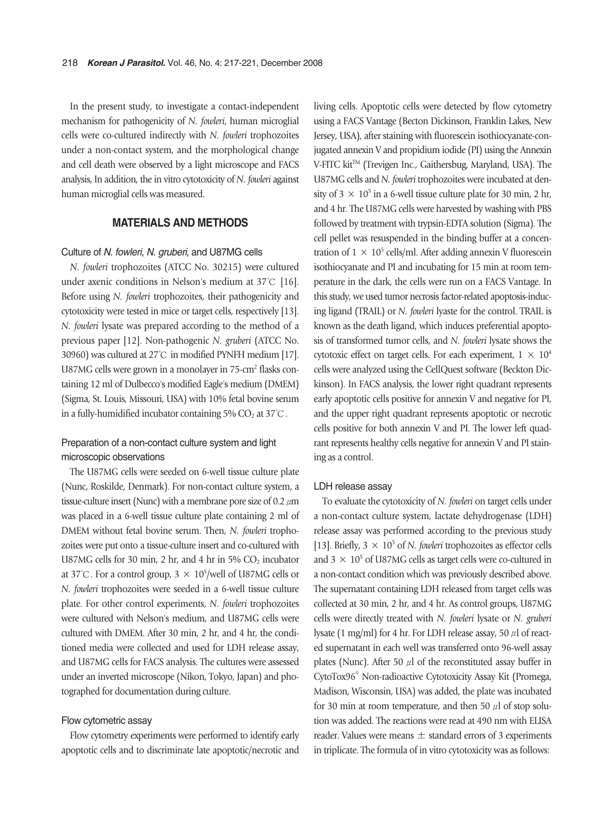In the present study, to investigate a contact-independent mechanism for pathogenicity of *N. fowleri*, human microglial cells were co-cultured indirectly with *N. fowleri* trophozoites under a non-contact system, and the morphological change and cell death were observed by a light microscope and FACS analysis, In addition, the in vitro cytotoxicity of *N. fowleri* against human microglial cells was measured.

## **MATERIALS AND METHODS**

#### Culture of *N. fowleri*, *N. gruberi*, and U87MG cells

*N. fowleri* trophozoites (ATCC No. 30215) were cultured under axenic conditions in Nelson's medium at 37℃ [16]. Before using *N. fowleri* trophozoites, their pathogenicity and cytotoxicity were tested in mice or target cells, respectively [13]. *N. fowleri* lysate was prepared according to the method of a previous paper [12]. Non-pathogenic *N. gruberi* (ATCC No. 30960) was cultured at 27℃ in modified PYNFH medium [17]. U87MG cells were grown in a monolayer in  $75$ -cm<sup>2</sup> flasks containing 12 ml of Dulbecco's modified Eagle's medium (DMEM) (Sigma, St. Louis, Missouri, USA) with 10% fetal bovine serum in a fully-humidified incubator containing 5%  $CO<sub>2</sub>$  at 37°C.

## Preparation of a non-contact culture system and light microscopic observations

The U87MG cells were seeded on 6-well tissue culture plate (Nunc, Roskilde, Denmark). For non-contact culture system, a tissue-culture insert (Nunc) with a membrane pore size of 0.2  $\mu$ m was placed in a 6-well tissue culture plate containing 2 ml of DMEM without fetal bovine serum. Then, *N. fowleri* trophozoites were put onto a tissue-culture insert and co-cultured with U87MG cells for 30 min, 2 hr, and 4 hr in 5%  $CO<sub>2</sub>$  incubator at 37°C. For a control group,  $3 \times 10^5$ /well of U87MG cells or *N. fowleri* trophozoites were seeded in a 6-well tissue culture plate. For other control experiments, *N. fowleri* trophozoites were cultured with Nelson's medium, and U87MG cells were cultured with DMEM. After 30 min, 2 hr, and 4 hr, the conditioned media were collected and used for LDH release assay, and U87MG cells for FACS analysis. The cultures were assessed under an inverted microscope (Nikon, Tokyo, Japan) and photographed for documentation during culture.

#### Flow cytometric assay

Flow cytometry experiments were performed to identify early apoptotic cells and to discriminate late apoptotic/necrotic and living cells. Apoptotic cells were detected by flow cytometry using a FACS Vantage (Becton Dickinson, Franklin Lakes, New Jersey, USA), after staining with fluorescein isothiocyanate-conjugated annexin V and propidium iodide (PI) using the Annexin V-FITC kit<sup>TM</sup> (Trevigen Inc., Gaithersbug, Maryland, USA). The U87MG cells and *N. fowleri* trophozoites were incubated at density of  $3 \times 10^5$  in a 6-well tissue culture plate for 30 min, 2 hr, and 4 hr. The U87MG cells were harvested by washing with PBS followed by treatment with trypsin-EDTA solution (Sigma). The cell pellet was resuspended in the binding buffer at a concentration of  $1 \times 10^5$  cells/ml. After adding annexin V fluorescein isothiocyanate and PI and incubating for 15 min at room temperature in the dark, the cells were run on a FACS Vantage. In this study, we used tumor necrosis factor-related apoptosis-inducing ligand (TRAIL) or *N. fowleri* lyaste for the control. TRAIL is known as the death ligand, which induces preferential apoptosis of transformed tumor cells, and *N. fowleri* lysate shows the cytotoxic effect on target cells. For each experiment,  $1 \times 10^4$ cells were analyzed using the CellQuest software (Beckton Dickinson). In FACS analysis, the lower right quadrant represents early apoptotic cells positive for annexin V and negative for PI, and the upper right quadrant represents apoptotic or necrotic cells positive for both annexin V and PI. The lower left quadrant represents healthy cells negative for annexin V and PI staining as a control.

#### LDH release assay

To evaluate the cytotoxicity of *N. fowleri* on target cells under a non-contact culture system, lactate dehydrogenase (LDH) release assay was performed according to the previous study [13]. Briefly,  $3 \times 10^5$  of *N. fowleri* trophozoites as effector cells and  $3 \times 10^5$  of U87MG cells as target cells were co-cultured in a non-contact condition which was previously described above. The supernatant containing LDH released from target cells was collected at 30 min, 2 hr, and 4 hr. As control groups, U87MG cells were directly treated with *N. fowleri* lysate or *N. gruberi* lysate (1 mg/ml) for 4 hr. For LDH release assay, 50 μl of reacted supernatant in each well was transferred onto 96-well assay plates (Nunc). After 50  $\mu$ l of the reconstituted assay buffer in CytoTox96� Non-radioactive Cytotoxicity Assay Kit (Promega, Madison, Wisconsin, USA) was added, the plate was incubated for 30 min at room temperature, and then 50  $\mu$ l of stop solution was added. The reactions were read at 490 nm with ELISA reader. Values were means  $\pm$  standard errors of 3 experiments in triplicate. The formula of in vitro cytotoxicity was as follows: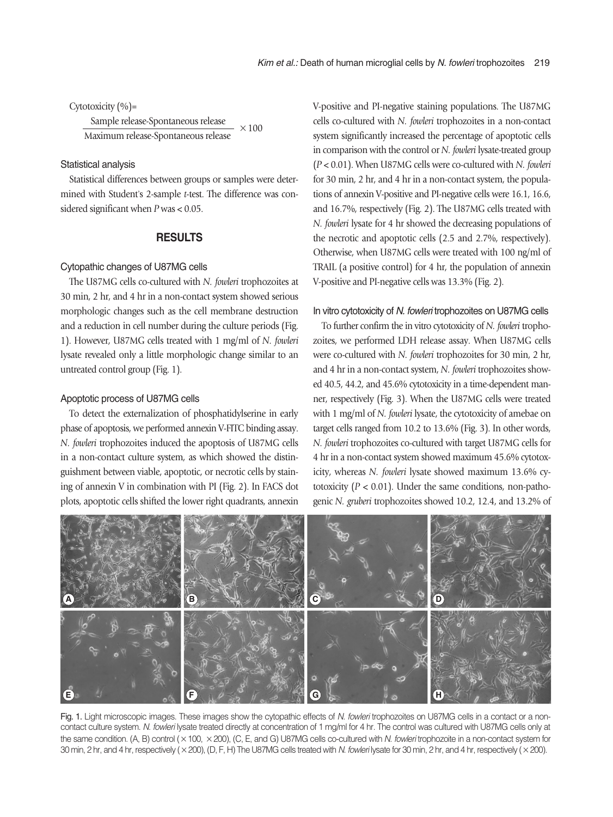Cytotoxicity (%)=

 $\frac{\text{Sample release-Spondaneous release}}{\text{Maximum release-Spondaneous release}} \times 100$ 

#### Statistical analysis

Statistical differences between groups or samples were determined with Student's 2-sample *t*-test. The difference was considered significant when *P* was < 0.05.

## **RESULTS**

#### Cytopathic changes of U87MG cells

The U87MG cells co-cultured with *N. fowleri* trophozoites at 30 min, 2 hr, and 4 hr in a non-contact system showed serious morphologic changes such as the cell membrane destruction and a reduction in cell number during the culture periods (Fig. 1). However, U87MG cells treated with 1 mg/ml of *N. fowleri* lysate revealed only a little morphologic change similar to an untreated control group (Fig. 1).

#### Apoptotic process of U87MG cells

To detect the externalization of phosphatidylserine in early phase of apoptosis, we performed annexin V-FITC binding assay. *N. fowleri* trophozoites induced the apoptosis of U87MG cells in a non-contact culture system, as which showed the distinguishment between viable, apoptotic, or necrotic cells by staining of annexin V in combination with PI (Fig. 2). In FACS dot plots, apoptotic cells shifted the lower right quadrants, annexin

V-positive and PI-negative staining populations. The U87MG cells co-cultured with *N. fowleri* trophozoites in a non-contact system significantly increased the percentage of apoptotic cells in comparison with the control or *N. fowleri* lysate-treated group (*P* < 0.01). When U87MG cells were co-cultured with *N. fowleri* for 30 min, 2 hr, and 4 hr in a non-contact system, the populations of annexin V-positive and PI-negative cells were 16.1, 16.6, and 16.7%, respectively (Fig. 2). The U87MG cells treated with *N. fowleri* lysate for 4 hr showed the decreasing populations of the necrotic and apoptotic cells (2.5 and 2.7%, respectively). Otherwise, when U87MG cells were treated with 100 ng/ml of TRAIL (a positive control) for 4 hr, the population of annexin V-positive and PI-negative cells was 13.3% (Fig. 2).

#### In vitro cytotoxicity of *N. fowleri* trophozoites on U87MG cells

To further confirm the in vitro cytotoxicity of *N. fowleri* trophozoites, we performed LDH release assay. When U87MG cells were co-cultured with *N. fowleri* trophozoites for 30 min, 2 hr, and 4 hr in a non-contact system, *N. fowleri* trophozoites showed 40.5, 44.2, and 45.6% cytotoxicity in a time-dependent manner, respectively (Fig. 3). When the U87MG cells were treated with 1 mg/ml of *N. fowleri* lysate, the cytotoxicity of amebae on target cells ranged from 10.2 to 13.6% (Fig. 3). In other words, *N. fowleri* trophozoites co-cultured with target U87MG cells for 4 hr in a non-contact system showed maximum 45.6% cytotoxicity, whereas *N. fowleri* lysate showed maximum 13.6% cytotoxicity  $(P < 0.01)$ . Under the same conditions, non-pathogenic *N. gruberi* trophozoites showed 10.2, 12.4, and 13.2% of



Fig. 1. Light microscopic images. These images show the cytopathic effects of *N. fowleri* trophozoites on U87MG cells in a contact or a noncontact culture system. *N. fowleri* lysate treated directly at concentration of 1 mg/ml for 4 hr. The control was cultured with U87MG cells only at the same condition. (A, B) control (×100, ×200), (C, E, and G) U87MG cells co-cultured with *N. fowleri* trophozoite in a non-contact system for 30 min, 2 hr, and 4 hr, respectively (×200), (D, F, H) The U87MG cells treated with *N. fowleri* lysate for 30 min, 2 hr, and 4 hr, respectively (×200).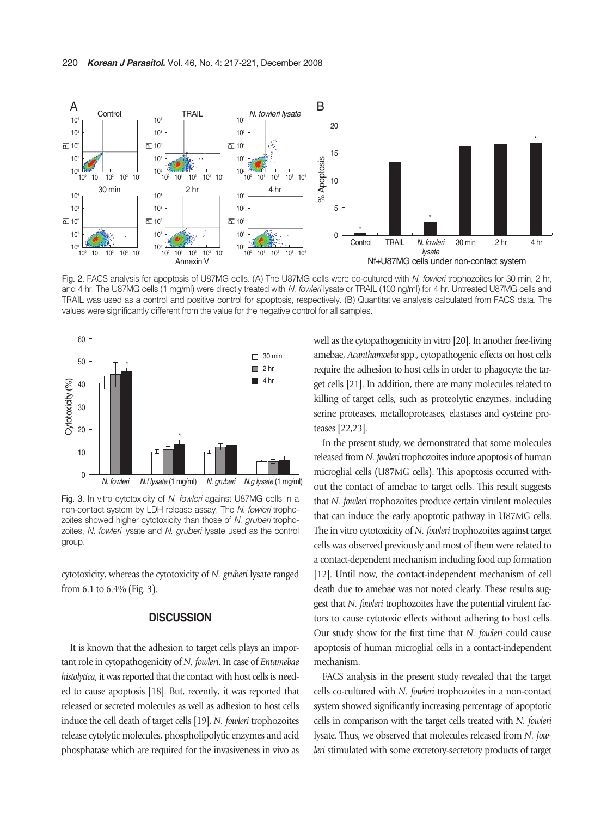

Fig. 2. FACS analysis for apoptosis of U87MG cells. (A) The U87MG cells were co-cultured with *N. fowleri* trophozoites for 30 min, 2 hr, and 4 hr. The U87MG cells (1 mg/ml) were directly treated with *N. fowleri* lysate or TRAIL (100 ng/ml) for 4 hr. Untreated U87MG cells and TRAIL was used as a control and positive control for apoptosis, respectively. (B) Quantitative analysis calculated from FACS data. The



Fig. 3. In vitro cytotoxicity of *N. fowleri* against U87MG cells in a non-contact system by LDH release assay. The *N. fowleri* trophozoites showed higher cytotoxicity than those of *N. gruberi* trophozoites, *N. fowleri* lysate and *N. gruberi* lysate used as the control group.

cytotoxicity, whereas the cytotoxicity of *N. gruberi* lysate ranged from 6.1 to 6.4% (Fig. 3).

## **DISCUSSION**

It is known that the adhesion to target cells plays an important role in cytopathogenicity of *N. fowleri*. In case of *Entamebae histolytica*, it was reported that the contact with host cells is needed to cause apoptosis [18]. But, recently, it was reported that released or secreted molecules as well as adhesion to host cells induce the cell death of target cells [19]. *N. fowleri* trophozoites release cytolytic molecules, phospholipolytic enzymes and acid phosphatase which are required for the invasiveness in vivo as well as the cytopathogenicity in vitro [20]. In another free-living amebae, *Acanthamoeba* spp., cytopathogenic effects on host cells require the adhesion to host cells in order to phagocyte the target cells [21]. In addition, there are many molecules related to killing of target cells, such as proteolytic enzymes, including serine proteases, metalloproteases, elastases and cysteine proteases [22,23].

In the present study, we demonstrated that some molecules released from *N. fowleri* trophozoites induce apoptosis of human microglial cells (U87MG cells). This apoptosis occurred without the contact of amebae to target cells. This result suggests that *N. fowleri* trophozoites produce certain virulent molecules that can induce the early apoptotic pathway in U87MG cells. The in vitro cytotoxicity of *N. fowleri* trophozoites against target cells was observed previously and most of them were related to a contact-dependent mechanism including food cup formation [12]. Until now, the contact-independent mechanism of cell death due to amebae was not noted clearly. These results suggest that *N. fowleri* trophozoites have the potential virulent factors to cause cytotoxic effects without adhering to host cells. Our study show for the first time that *N. fowleri* could cause apoptosis of human microglial cells in a contact-independent mechanism.

FACS analysis in the present study revealed that the target cells co-cultured with *N. fowleri* trophozoites in a non-contact system showed significantly increasing percentage of apoptotic cells in comparison with the target cells treated with *N. fowleri* lysate. Thus, we observed that molecules released from *N. fowleri* stimulated with some excretory-secretory products of target